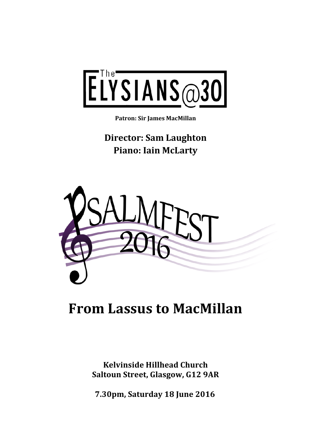

**Patron: Sir James MacMillan** 

**Director: Sam Laughton Piano: Iain McLarty** 



# **From Lassus to MacMillan**

**Kelvinside Hillhead Church Saltoun Street, Glasgow, G12 9AR** 

**7.30pm, Saturday 18 June 2016**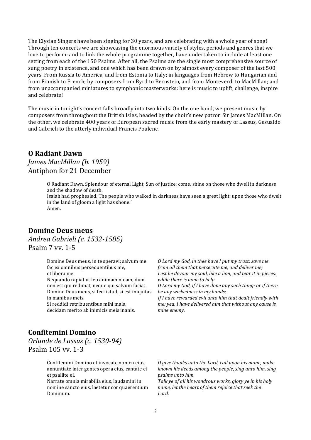The Elysian Singers have been singing for 30 years, and are celebrating with a whole year of song! Through ten concerts we are showcasing the enormous variety of styles, periods and genres that we love to perform: and to link the whole programme together, have undertaken to include at least one setting from each of the 150 Psalms. After all, the Psalms are the single most comprehensive source of sung poetry in existence, and one which has been drawn on by almost every composer of the last 500 years. From Russia to America, and from Estonia to Italy; in languages from Hebrew to Hungarian and from Finnish to French; by composers from Byrd to Bernstein, and from Monteverdi to MacMillan; and from unaccompanied miniatures to symphonic masterworks: here is music to uplift, challenge, inspire and celebrate!

The music in tonight's concert falls broadly into two kinds. On the one hand, we present music by composers from throughout the British Isles, headed by the choir's new patron Sir James MacMillan. On the other, we celebrate 400 years of European sacred music from the early mastery of Lassus, Gesualdo and Gabrieli to the utterly individual Francis Poulenc.

#### **O Radiant Dawn**

#### *James MacMillan (b. 1959)* Antiphon for 21 December

O Radiant Dawn, Splendour of eternal Light, Sun of Justice: come, shine on those who dwell in darkness and the shadow of death.

Isaiah had prophesied,'The people who walked in darkness have seen a great light; upon those who dwelt in the land of gloom a light has shone.'

Amen.

#### **Domine Deus meus**

*Andrea Gabrieli (c. 1532-1585)* Psalm 7 vv. 1-5

> Domine Deus meus, in te speravi; salvum me fac ex omnibus persequentibus me, et libera me.

Nequando rapiat ut leo animam meam, dum non est qui redimat, neque qui salvum faciat. Domine Deus meus, si feci istud, si est iniquitas in manibus meis.

Si reddidi retribuentibus mihi mala. decidam merito ab inimicis meis inanis.

*O* Lord my God, in thee have I put my trust: save me *from all them that persecute me, and deliver me;* Lest he devour my soul, like a lion, and tear it in pieces: *while there is none to help.* 

*O* Lord my God, if I have done any such thing: or if there *be any wickedness in my hands;*

*If I have rewarded evil unto him that dealt friendly with me:* yea, I have delivered him that without any cause is *mine enemy.*

#### **Confitemini Domino**

*Orlande de Lassus (c. 1530-94)* Psalm 105 vv. 1-3

> Confitemini Domino et invocate nomen eius, annuntiate inter gentes opera eius, cantate ei et psallite ei.

> Narrate omnia mirabilia eius, laudamini in nomine sancto eius, laetetur cor quaerentium Dominum.

*O* give thanks unto the Lord, call upon his name, make *known his deeds among the people, sing unto him, sing psalms unto him.*

Talk ye of all his wondrous works, glory ye in his holy *name, let the heart of them rejoice that seek the Lord.*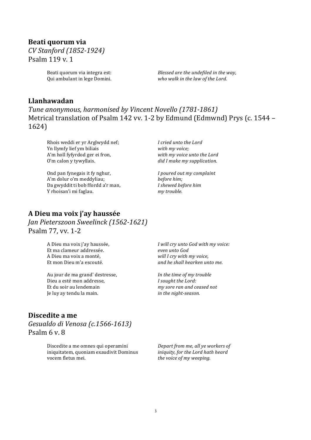# **Beati quorum via** *CV Stanford (1852-1924)*

Psalm 119 v. 1

Beati quorum via integra est: Qui ambulant in lege Domini. *Blessed are the undefiled in the way,* who walk in the law of the Lord.

# **Llanhawadan**

Tune anonymous, harmonised by Vincent Novello (1781-1861) Metrical translation of Psalm 142 vv. 1-2 by Edmund (Edmwnd) Prys (c. 1544 -1624)

Rhois weddi er yr Arglwydd nef; Yn llymfy lief ym biliais A'm holl fyfyrdod ger ei fron, O'm calon y tywyllais.

Ond pan fynegais it fy nghur, A'm dolur o'm meddyliau; Da gwyddit ti bob ffordd a'r man, Y rhoisan'i mi faglau.

*I cried unto the Lord with my voice;* with my voice unto the Lord *did I make my supplication.*

*I poured out my complaint before him; I shewed before him my trouble.*

# **A Dieu ma voix j'ay haussée** *Jan Pieterszoon Sweelinck (1562-1621)* Psalm 77, vv. 1-2

A Dieu ma voix j'ay haussée, Et ma clameur addressée. A Dieu ma voix a monté, Et mon Dieu m'a escouté.

Au jour de ma grand' destresse, Dieu a esté mon addresse, Et du soir au lendemain Je luy ay tendu la main.

*I will cry unto God with my voice: even unto God will I cry with my voice, and he shall hearken unto me.*

*In the time of my trouble I* sought the Lord: *my sore ran and ceased not in the night-season.*

# **Discedite a me**

*Gesualdo di Venosa (c.1566-1613)* Psalm 6 v. 8

> Discedite a me omnes qui operamini iniquitatem, quoniam exaudivit Dominus vocem fletus mei.

*Depart from me, all ye workers of iniquity, for the Lord hath heard the voice of my weeping.*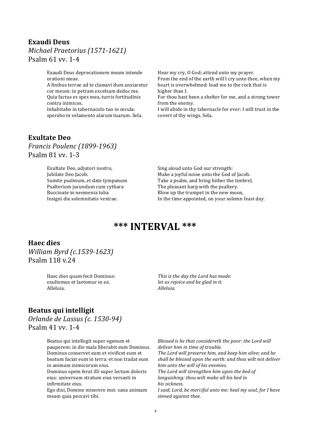#### **Exaudi Deus** *Michael Praetorius (1571-1621)* Psalm  $61$  vv.  $1-4$

Exaudi Deus deprecationem meam intende orationi meae.

A finibus terrae ad te clamavi dum anxiaretur cor meum: in petram excelsam deduc me. Quia factus es spes mea, turris fortitudinis contra inimicos.

Inhabitabo in tabernaculo tuo in secula: sperabo in velamento alarum tuarum. Sela. Hear my cry, O God; attend unto my prayer.

From the end of the earth will I cry unto thee, when my heart is overwhelmed: lead me to the rock that is higher than I.

For thou hast been a shelter for me, and a strong tower from the enemy.

I will abide in thy tabernacle for ever: I will trust in the covert of thy wings. Sela.

### **Exultate Deo**

*Francis Poulenc (1899-1963)* Psalm 81 vv. 1-3

> Exultate Deo, adjutori nostro, Jubilate Deo Jacob. Sumite psalmum, et date tympanum Psalterium iucundum cum cythara Buccinate in neomenia tuba Insigni die solemnitatis vestrae.

Sing aloud unto God our strength: Make a joyful noise unto the God of Jacob. Take a psalm, and bring hither the timbrel, The pleasant harp with the psaltery. Blow up the trumpet in the new moon, In the time appointed, on your solemn feast day.

# **\*\*\* INTERVAL \*\*\***

#### **Haec dies**

*William Byrd (c.1539-1623)* Psalm 118 v 24

> Haec dies quam fecit Dominus: exultemus et laetemur in ea. Alleluia.

This is the day the Lord has made: *let us rejoice and be glad in it. Alleluia.*

#### **Beatus qui intelligit**

*Orlande de Lassus (c. 1530-94)* Psalm  $41$  vv.  $1-4$ 

> Beatus qui intellegit super egenum et pauperem: in die mala liberabit eum Dominus. Dominus conservet eum et vivificet eum et beatum faciat eum in terra: et non tradat eum in animam inimicorum eius. Dominus opem ferat illi super lectum doloris

eius: universum stratum eius versasti in infirmitate eius.

Ego dixi, Domine miserere mei: sana animam meam quia peccavi tibi.

*Blessed is he that considereth the poor: the Lord will* deliver him in time of trouble. The Lord will preserve him, and keep him alive; and he shall be blessed upon the earth: and thou wilt not deliver *him unto the will of his enemies.* The Lord will strengthen him upon the bed of *languishing: thou wilt make all his bed in his sickness. I* said, Lord, be merciful unto me: heal my soul; for I have *sinned against thee.*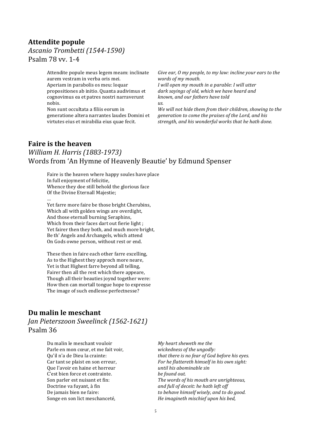# **Attendite popule**

#### *Ascanio Trombetti (1544-1590)* Psalm 78 vv. 1-4

Attendite popule meus legem meam: inclinate aurem vestram in verba oris mei. Aperiam in parabolis os meu: loquar propositiones ab initio. Quanta audivimus et cognovimus ea et patres nostri narraverunt nobis.

Non sunt occultata a filiis eorum in generatione altera narrantes laudes Domini et virtutes eius et mirabilia eius quae fecit.

*Give ear, O my people, to my law: incline your ears to the words of my mouth.*

*I* will open my mouth in a parable: *I* will utter dark sayings of old, which we have heard and *known, and our fathers have told us.*

We will not hide them from their children, showing to the *generation to come the praises of the Lord, and his strength, and his wonderful works that he hath done.*

# **Faire is the heaven**

# *William H. Harris (1883-1973)* Words from 'An Hymne of Heavenly Beautie' by Edmund Spenser

Faire is the heaven where happy soules have place In full enjoyment of felicitie, Whence they doe still behold the glorious face Of the Divine Eternall Majestie;

… Yet farre more faire be those bright Cherubins, Which all with golden wings are overdight, And those eternall burning Seraphins, Which from their faces dart out fierie light; Yet fairer then they both, and much more bright, Be th' Angels and Archangels, which attend On Gods owne person, without rest or end.

These then in faire each other farre excelling, As to the Highest they approch more neare, Yet is that Highest farre beyond all telling, Fairer then all the rest which there appeare. Though all their beauties joynd together were: How then can mortall tongue hope to expresse The image of such endlesse perfectnesse?

#### **Du malin le meschant**

*Jan Pieterszoon Sweelinck (1562-1621)* Psalm 36

> Du malin le meschant vouloir Parle en mon cœur, et me fait voir, Qu'il n'a de Dieu la crainte: Car tant se plaist en son erreur, Que l'avoir en haine et horreur C'est bien force et contrainte. Son parler est nuisant et fin: Doctrine va fuyant, à fin De jamais bien ne faire: Songe en son lict meschanceté,

*My heart sheweth me the*  wickedness of the ungodly: *that there is no fear of God before his eyes.* For he flattereth himself in his own sight: *until his abominable sin be found out.* The words of his mouth are unrighteous, and full of deceit: he hath left off to behave himself wisely, and to do good. *He imagineth mischief upon his bed,*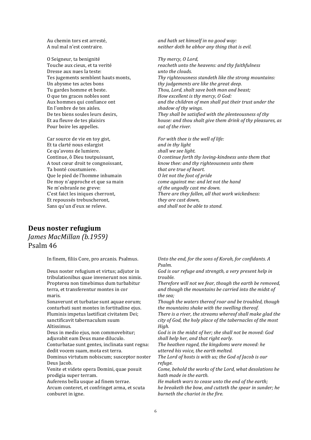Au chemin tors est arresté, A nul mal n'est contraire.

O Seigneur, ta benignité Touche aux cieux, et ta verité Dresse aux nues la teste: Tes iugements semblent hauts monts, Un abysme tes actes bons Tu gardes homme et beste. O que tes graces nobles sont Aux hommes qui confiance ont En l'ombre de tes aisles. De tes biens soules leurs desirs. Et au fleuve de tes plaisirs Pour boire les appelles.

Car source de vie en toy gist, Et ta clarté nous eslargist Ce qu'avons de lumiere. Continue, ô Dieu toutpuissant, A tout cœur droit te congnoissant, Ta bonté coustumiere. Que le pied de l'homme inhumain De moy n'approche et que sa main Ne m'esbranle ne greve: C'est faict les iniques cherront, Et repoussés trebuscheront, Sans qu'un d'eux se releve.

*and hath set himself in no good way: neither doth he abhor any thing that is evil.* 

Thy mercy, O Lord, reacheth unto the heavens: and thy faithfulness *unto the clouds.* Thy righteousness standeth like the strong mountains: *thy judgements are like the areat deep. Thou, Lord, shalt save both man and beast: How excellent is thy mercy, O God:* and the children of men shall put their trust under the *shadow of thy wings.* They shall be satisfied with the plenteousness of thy *house:* and thou shalt give them drink of thy pleasures, as *out of the river.*

*For with thee is the well of life:* and in thy light *shall we see light. O* continue forth thy loving-kindness unto them that *know thee: and thy righteousness unto them that are true of heart. O let not the foot of pride come against me: and let not the hand of the ungodly cast me down. There are they fallen, all that work wickedness:* they are cast down, *and shall not be able to stand.*

#### **Deus noster refugium** *James MacMillan (b.1959)* Psalm 46

In finem, filiis Core, pro arcanis. Psalmus.

Deus noster refugium et virtus; adjutor in tribulationibus quae invenerunt nos nimis. Propterea non timebimus dum turbabitur terra, et transferentur montes in cor maris.

Sonaverunt et turbatae sunt aquae eorum; conturbati sunt montes in fortitudine ejus. Fluminis impetus laetificat civitatem Dei: sanctificavit tabernaculum suum Altissimus.

Deus in medio ejus, non commovebitur; adjuvabit eam Deus mane diluculo.

Conturbatae sunt gentes, inclinata sunt regna: dedit vocem suam, mota est terra.

Dominus virtutum nobiscum; susceptor noster Deus Jacob.

Venite et videte opera Domini, quae posuit prodigia super terram.

Auferens bella usque ad finem terrae.

Arcum conteret, et confringet arma, et scuta conburet in igne.

Unto the end, for the sons of Korah, for confidants. A *Psalm.*

God is our refuge and strength, a very present help in *trouble.*

Therefore will not we fear, though the earth be removed, and though the mountains be carried into the midst of *the sea;*

Though the waters thereof roar and be troubled, though *the mountains shake with the swelling thereof.* 

*There is a river, the streams whereof shall make glad the* city of God, the holy place of the tabernacles of the most *High.*

God is in the midst of her; she shall not be moved: God shall help her, and that right early.

The heathen raged, the kingdoms were moved: he *uttered his voice, the earth melted.* 

The Lord of hosts is with us; the God of Jacob is our *refuge.*

*Come, behold the works of the Lord, what desolations he hath* made in the earth.

He maketh wars to cease unto the end of the earth; *he breaketh the bow, and cutteth the spear in sunder; he burneth the chariot in the fire.*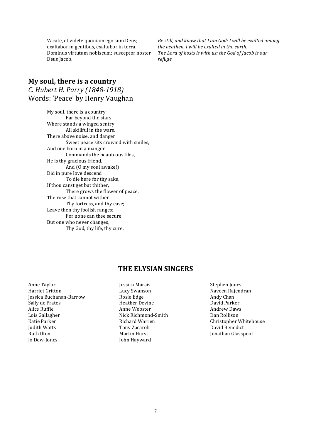Vacate, et videte quoniam ego sum Deus; exaltabor in gentibus, exaltabor in terra. Dominus virtutum nobiscum; susceptor noster Deus Jacob.

*Be still, and know that I am God: I will be exalted among* the heathen, I will be exalted in the earth. The Lord of hosts is with us; the God of Jacob is our *refuge.*

# **My soul, there is a country** *C. Hubert H. Parry (1848-1918)* Words: 'Peace' by Henry Vaughan

My soul, there is a country Far beyond the stars, Where stands a winged sentry All skillful in the wars, There above noise, and danger Sweet peace sits crown'd with smiles, And one born in a manger Commands the beauteous files. He is thy gracious friend, And (O my soul awake!) Did in pure love descend To die here for thy sake, If thou canst get but thither, There grows the flower of peace, The rose that cannot wither Thy fortress, and thy ease: Leave then thy foolish ranges; For none can thee secure, But one who never changes, Thy God, thy life, thy cure.

#### **THE ELYSIAN SINGERS**

- Anne Taylor Harriet Gritton Jessica Buchanan-Barrow Sally de Frates Alice Ruffle Lois Gallagher Katie Parker **Judith Watts Ruth Ilton** Jo Dew-Jones
- Jessica Marais Lucy Swanson Rosie Edge Heather Devine Anne Webster Nick Richmond-Smith Richard Warren Tony Zacaroli Martin Hurst John Hayward
- Stephen Jones Naveen Rajendran Andy Chan David Parker Andrew Daws Dan Rollison Christopher Whitehouse David Benedict Jonathan Glasspool